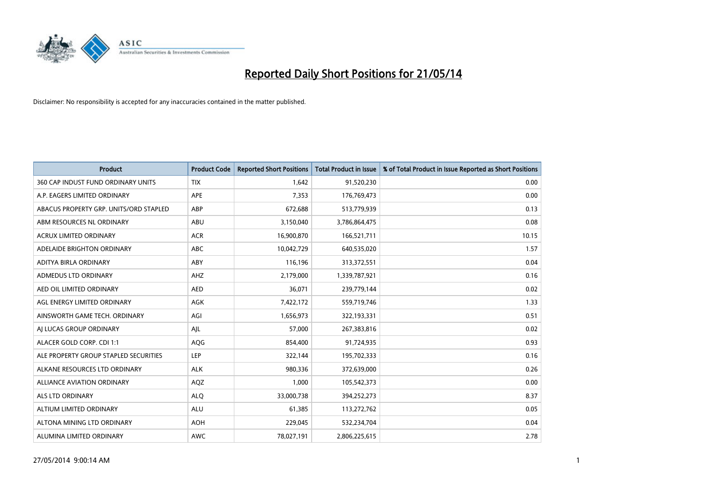

| <b>Product</b>                         | <b>Product Code</b> | <b>Reported Short Positions</b> | <b>Total Product in Issue</b> | % of Total Product in Issue Reported as Short Positions |
|----------------------------------------|---------------------|---------------------------------|-------------------------------|---------------------------------------------------------|
| 360 CAP INDUST FUND ORDINARY UNITS     | <b>TIX</b>          | 1,642                           | 91,520,230                    | 0.00                                                    |
| A.P. EAGERS LIMITED ORDINARY           | APE                 | 7,353                           | 176,769,473                   | 0.00                                                    |
| ABACUS PROPERTY GRP. UNITS/ORD STAPLED | ABP                 | 672,688                         | 513,779,939                   | 0.13                                                    |
| ABM RESOURCES NL ORDINARY              | ABU                 | 3,150,040                       | 3,786,864,475                 | 0.08                                                    |
| <b>ACRUX LIMITED ORDINARY</b>          | <b>ACR</b>          | 16,900,870                      | 166,521,711                   | 10.15                                                   |
| ADELAIDE BRIGHTON ORDINARY             | <b>ABC</b>          | 10,042,729                      | 640,535,020                   | 1.57                                                    |
| ADITYA BIRLA ORDINARY                  | ABY                 | 116,196                         | 313,372,551                   | 0.04                                                    |
| ADMEDUS LTD ORDINARY                   | AHZ                 | 2,179,000                       | 1,339,787,921                 | 0.16                                                    |
| AED OIL LIMITED ORDINARY               | <b>AED</b>          | 36,071                          | 239,779,144                   | 0.02                                                    |
| AGL ENERGY LIMITED ORDINARY            | <b>AGK</b>          | 7,422,172                       | 559,719,746                   | 1.33                                                    |
| AINSWORTH GAME TECH. ORDINARY          | AGI                 | 1,656,973                       | 322,193,331                   | 0.51                                                    |
| AI LUCAS GROUP ORDINARY                | AJL                 | 57,000                          | 267,383,816                   | 0.02                                                    |
| ALACER GOLD CORP. CDI 1:1              | AQG                 | 854,400                         | 91,724,935                    | 0.93                                                    |
| ALE PROPERTY GROUP STAPLED SECURITIES  | LEP                 | 322,144                         | 195,702,333                   | 0.16                                                    |
| ALKANE RESOURCES LTD ORDINARY          | <b>ALK</b>          | 980,336                         | 372,639,000                   | 0.26                                                    |
| ALLIANCE AVIATION ORDINARY             | AQZ                 | 1,000                           | 105,542,373                   | 0.00                                                    |
| ALS LTD ORDINARY                       | <b>ALQ</b>          | 33,000,738                      | 394,252,273                   | 8.37                                                    |
| ALTIUM LIMITED ORDINARY                | ALU                 | 61,385                          | 113,272,762                   | 0.05                                                    |
| ALTONA MINING LTD ORDINARY             | <b>AOH</b>          | 229,045                         | 532,234,704                   | 0.04                                                    |
| ALUMINA LIMITED ORDINARY               | AWC                 | 78,027,191                      | 2,806,225,615                 | 2.78                                                    |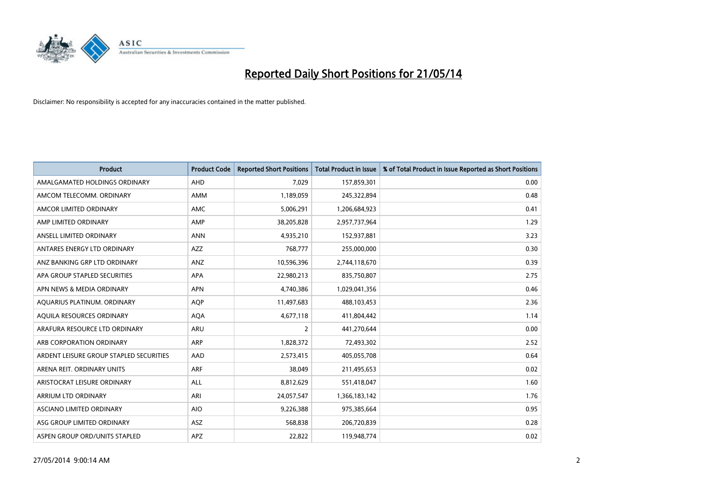

| <b>Product</b>                          | <b>Product Code</b> | <b>Reported Short Positions</b> | <b>Total Product in Issue</b> | % of Total Product in Issue Reported as Short Positions |
|-----------------------------------------|---------------------|---------------------------------|-------------------------------|---------------------------------------------------------|
| AMALGAMATED HOLDINGS ORDINARY           | AHD                 | 7,029                           | 157,859,301                   | 0.00                                                    |
| AMCOM TELECOMM. ORDINARY                | AMM                 | 1,189,059                       | 245,322,894                   | 0.48                                                    |
| AMCOR LIMITED ORDINARY                  | AMC                 | 5,006,291                       | 1,206,684,923                 | 0.41                                                    |
| AMP LIMITED ORDINARY                    | AMP                 | 38,205,828                      | 2,957,737,964                 | 1.29                                                    |
| ANSELL LIMITED ORDINARY                 | <b>ANN</b>          | 4,935,210                       | 152,937,881                   | 3.23                                                    |
| ANTARES ENERGY LTD ORDINARY             | <b>AZZ</b>          | 768,777                         | 255,000,000                   | 0.30                                                    |
| ANZ BANKING GRP LTD ORDINARY            | ANZ                 | 10,596,396                      | 2,744,118,670                 | 0.39                                                    |
| APA GROUP STAPLED SECURITIES            | APA                 | 22,980,213                      | 835,750,807                   | 2.75                                                    |
| APN NEWS & MEDIA ORDINARY               | <b>APN</b>          | 4,740,386                       | 1,029,041,356                 | 0.46                                                    |
| AQUARIUS PLATINUM. ORDINARY             | <b>AOP</b>          | 11,497,683                      | 488,103,453                   | 2.36                                                    |
| AQUILA RESOURCES ORDINARY               | <b>AQA</b>          | 4,677,118                       | 411,804,442                   | 1.14                                                    |
| ARAFURA RESOURCE LTD ORDINARY           | ARU                 | $\overline{2}$                  | 441,270,644                   | 0.00                                                    |
| ARB CORPORATION ORDINARY                | ARP                 | 1,828,372                       | 72,493,302                    | 2.52                                                    |
| ARDENT LEISURE GROUP STAPLED SECURITIES | AAD                 | 2,573,415                       | 405,055,708                   | 0.64                                                    |
| ARENA REIT. ORDINARY UNITS              | <b>ARF</b>          | 38,049                          | 211,495,653                   | 0.02                                                    |
| ARISTOCRAT LEISURE ORDINARY             | ALL                 | 8,812,629                       | 551,418,047                   | 1.60                                                    |
| ARRIUM LTD ORDINARY                     | ARI                 | 24,057,547                      | 1,366,183,142                 | 1.76                                                    |
| ASCIANO LIMITED ORDINARY                | <b>AIO</b>          | 9,226,388                       | 975,385,664                   | 0.95                                                    |
| ASG GROUP LIMITED ORDINARY              | ASZ                 | 568,838                         | 206,720,839                   | 0.28                                                    |
| ASPEN GROUP ORD/UNITS STAPLED           | APZ                 | 22,822                          | 119,948,774                   | 0.02                                                    |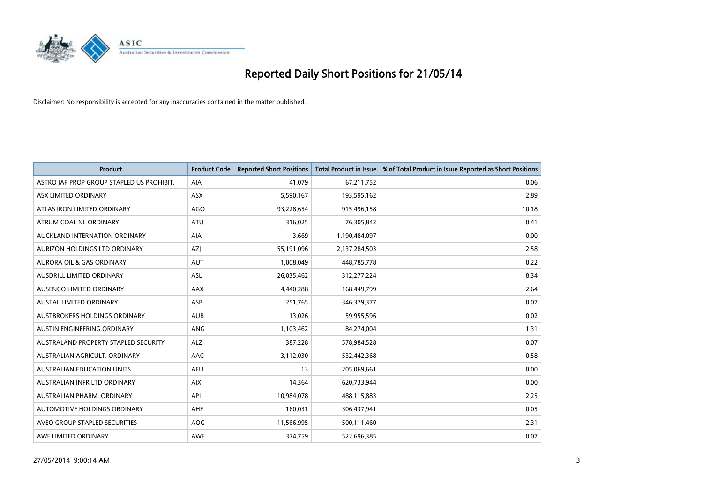

| <b>Product</b>                            | <b>Product Code</b> | <b>Reported Short Positions</b> | <b>Total Product in Issue</b> | % of Total Product in Issue Reported as Short Positions |
|-------------------------------------------|---------------------|---------------------------------|-------------------------------|---------------------------------------------------------|
| ASTRO JAP PROP GROUP STAPLED US PROHIBIT. | AJA                 | 41,079                          | 67,211,752                    | 0.06                                                    |
| ASX LIMITED ORDINARY                      | ASX                 | 5,590,167                       | 193,595,162                   | 2.89                                                    |
| ATLAS IRON LIMITED ORDINARY               | <b>AGO</b>          | 93,228,654                      | 915,496,158                   | 10.18                                                   |
| ATRUM COAL NL ORDINARY                    | ATU                 | 316,025                         | 76,305,842                    | 0.41                                                    |
| AUCKLAND INTERNATION ORDINARY             | AIA                 | 3,669                           | 1,190,484,097                 | 0.00                                                    |
| AURIZON HOLDINGS LTD ORDINARY             | AZJ                 | 55,191,096                      | 2,137,284,503                 | 2.58                                                    |
| AURORA OIL & GAS ORDINARY                 | <b>AUT</b>          | 1,008,049                       | 448,785,778                   | 0.22                                                    |
| AUSDRILL LIMITED ORDINARY                 | ASL                 | 26,035,462                      | 312,277,224                   | 8.34                                                    |
| AUSENCO LIMITED ORDINARY                  | AAX                 | 4,440,288                       | 168,449,799                   | 2.64                                                    |
| <b>AUSTAL LIMITED ORDINARY</b>            | ASB                 | 251,765                         | 346,379,377                   | 0.07                                                    |
| AUSTBROKERS HOLDINGS ORDINARY             | <b>AUB</b>          | 13,026                          | 59,955,596                    | 0.02                                                    |
| AUSTIN ENGINEERING ORDINARY               | <b>ANG</b>          | 1,103,462                       | 84,274,004                    | 1.31                                                    |
| AUSTRALAND PROPERTY STAPLED SECURITY      | <b>ALZ</b>          | 387,228                         | 578,984,528                   | 0.07                                                    |
| AUSTRALIAN AGRICULT, ORDINARY             | AAC                 | 3,112,030                       | 532,442,368                   | 0.58                                                    |
| <b>AUSTRALIAN EDUCATION UNITS</b>         | <b>AEU</b>          | 13                              | 205,069,661                   | 0.00                                                    |
| AUSTRALIAN INFR LTD ORDINARY              | <b>AIX</b>          | 14,364                          | 620,733,944                   | 0.00                                                    |
| AUSTRALIAN PHARM, ORDINARY                | API                 | 10,984,078                      | 488,115,883                   | 2.25                                                    |
| AUTOMOTIVE HOLDINGS ORDINARY              | AHE                 | 160,031                         | 306,437,941                   | 0.05                                                    |
| AVEO GROUP STAPLED SECURITIES             | <b>AOG</b>          | 11,566,995                      | 500,111,460                   | 2.31                                                    |
| AWE LIMITED ORDINARY                      | <b>AWE</b>          | 374,759                         | 522,696,385                   | 0.07                                                    |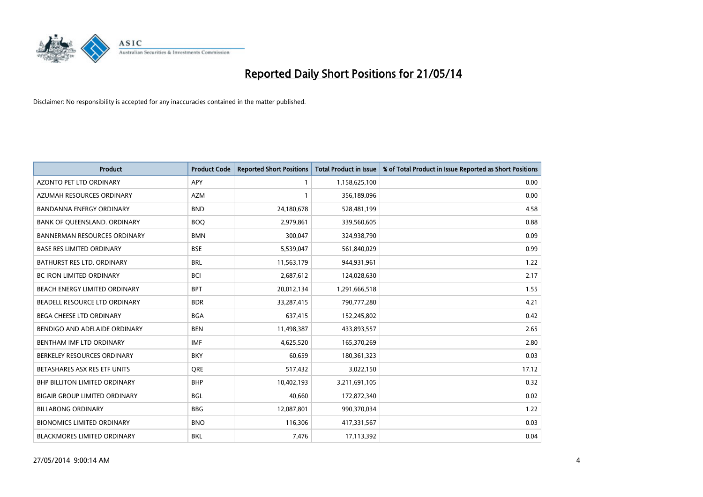

| <b>Product</b>                       | <b>Product Code</b> | <b>Reported Short Positions</b> | <b>Total Product in Issue</b> | % of Total Product in Issue Reported as Short Positions |
|--------------------------------------|---------------------|---------------------------------|-------------------------------|---------------------------------------------------------|
| <b>AZONTO PET LTD ORDINARY</b>       | APY                 | 1                               | 1,158,625,100                 | 0.00                                                    |
| AZUMAH RESOURCES ORDINARY            | <b>AZM</b>          |                                 | 356,189,096                   | 0.00                                                    |
| <b>BANDANNA ENERGY ORDINARY</b>      | <b>BND</b>          | 24,180,678                      | 528,481,199                   | 4.58                                                    |
| BANK OF QUEENSLAND. ORDINARY         | <b>BOO</b>          | 2,979,861                       | 339,560,605                   | 0.88                                                    |
| <b>BANNERMAN RESOURCES ORDINARY</b>  | <b>BMN</b>          | 300,047                         | 324,938,790                   | 0.09                                                    |
| <b>BASE RES LIMITED ORDINARY</b>     | <b>BSE</b>          | 5,539,047                       | 561,840,029                   | 0.99                                                    |
| BATHURST RES LTD. ORDINARY           | <b>BRL</b>          | 11,563,179                      | 944,931,961                   | 1.22                                                    |
| <b>BC IRON LIMITED ORDINARY</b>      | <b>BCI</b>          | 2,687,612                       | 124,028,630                   | 2.17                                                    |
| BEACH ENERGY LIMITED ORDINARY        | <b>BPT</b>          | 20,012,134                      | 1,291,666,518                 | 1.55                                                    |
| BEADELL RESOURCE LTD ORDINARY        | <b>BDR</b>          | 33,287,415                      | 790,777,280                   | 4.21                                                    |
| BEGA CHEESE LTD ORDINARY             | <b>BGA</b>          | 637,415                         | 152,245,802                   | 0.42                                                    |
| BENDIGO AND ADELAIDE ORDINARY        | <b>BEN</b>          | 11,498,387                      | 433,893,557                   | 2.65                                                    |
| BENTHAM IMF LTD ORDINARY             | <b>IMF</b>          | 4,625,520                       | 165,370,269                   | 2.80                                                    |
| BERKELEY RESOURCES ORDINARY          | <b>BKY</b>          | 60,659                          | 180,361,323                   | 0.03                                                    |
| BETASHARES ASX RES ETF UNITS         | <b>ORE</b>          | 517,432                         | 3,022,150                     | 17.12                                                   |
| <b>BHP BILLITON LIMITED ORDINARY</b> | <b>BHP</b>          | 10,402,193                      | 3,211,691,105                 | 0.32                                                    |
| <b>BIGAIR GROUP LIMITED ORDINARY</b> | <b>BGL</b>          | 40,660                          | 172,872,340                   | 0.02                                                    |
| <b>BILLABONG ORDINARY</b>            | <b>BBG</b>          | 12,087,801                      | 990,370,034                   | 1.22                                                    |
| <b>BIONOMICS LIMITED ORDINARY</b>    | <b>BNO</b>          | 116,306                         | 417,331,567                   | 0.03                                                    |
| <b>BLACKMORES LIMITED ORDINARY</b>   | <b>BKL</b>          | 7,476                           | 17,113,392                    | 0.04                                                    |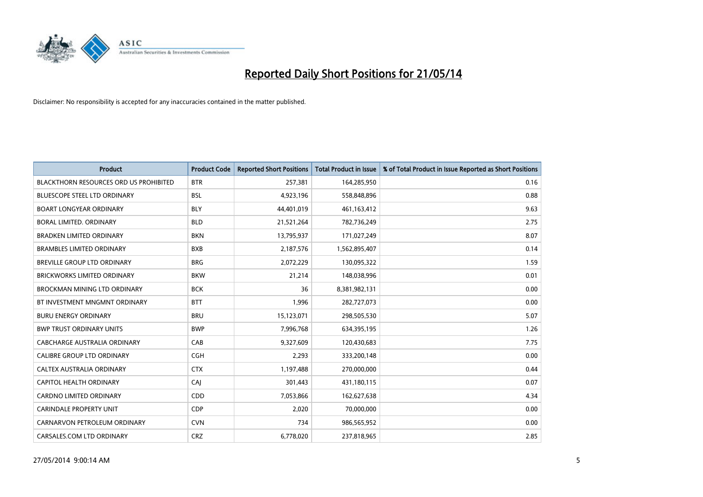

| <b>Product</b>                                | <b>Product Code</b> | <b>Reported Short Positions</b> | <b>Total Product in Issue</b> | % of Total Product in Issue Reported as Short Positions |
|-----------------------------------------------|---------------------|---------------------------------|-------------------------------|---------------------------------------------------------|
| <b>BLACKTHORN RESOURCES ORD US PROHIBITED</b> | <b>BTR</b>          | 257,381                         | 164,285,950                   | 0.16                                                    |
| <b>BLUESCOPE STEEL LTD ORDINARY</b>           | <b>BSL</b>          | 4,923,196                       | 558,848,896                   | 0.88                                                    |
| <b>BOART LONGYEAR ORDINARY</b>                | <b>BLY</b>          | 44,401,019                      | 461,163,412                   | 9.63                                                    |
| BORAL LIMITED. ORDINARY                       | <b>BLD</b>          | 21,521,264                      | 782,736,249                   | 2.75                                                    |
| <b>BRADKEN LIMITED ORDINARY</b>               | <b>BKN</b>          | 13,795,937                      | 171,027,249                   | 8.07                                                    |
| <b>BRAMBLES LIMITED ORDINARY</b>              | <b>BXB</b>          | 2,187,576                       | 1,562,895,407                 | 0.14                                                    |
| BREVILLE GROUP LTD ORDINARY                   | <b>BRG</b>          | 2,072,229                       | 130,095,322                   | 1.59                                                    |
| <b>BRICKWORKS LIMITED ORDINARY</b>            | <b>BKW</b>          | 21,214                          | 148,038,996                   | 0.01                                                    |
| <b>BROCKMAN MINING LTD ORDINARY</b>           | <b>BCK</b>          | 36                              | 8,381,982,131                 | 0.00                                                    |
| BT INVESTMENT MNGMNT ORDINARY                 | <b>BTT</b>          | 1,996                           | 282,727,073                   | 0.00                                                    |
| <b>BURU ENERGY ORDINARY</b>                   | <b>BRU</b>          | 15,123,071                      | 298,505,530                   | 5.07                                                    |
| <b>BWP TRUST ORDINARY UNITS</b>               | <b>BWP</b>          | 7,996,768                       | 634,395,195                   | 1.26                                                    |
| CABCHARGE AUSTRALIA ORDINARY                  | CAB                 | 9,327,609                       | 120,430,683                   | 7.75                                                    |
| CALIBRE GROUP LTD ORDINARY                    | <b>CGH</b>          | 2,293                           | 333,200,148                   | 0.00                                                    |
| CALTEX AUSTRALIA ORDINARY                     | <b>CTX</b>          | 1,197,488                       | 270,000,000                   | 0.44                                                    |
| CAPITOL HEALTH ORDINARY                       | CAJ                 | 301,443                         | 431,180,115                   | 0.07                                                    |
| CARDNO LIMITED ORDINARY                       | CDD                 | 7,053,866                       | 162,627,638                   | 4.34                                                    |
| CARINDALE PROPERTY UNIT                       | <b>CDP</b>          | 2,020                           | 70,000,000                    | 0.00                                                    |
| CARNARVON PETROLEUM ORDINARY                  | <b>CVN</b>          | 734                             | 986,565,952                   | 0.00                                                    |
| CARSALES.COM LTD ORDINARY                     | <b>CRZ</b>          | 6,778,020                       | 237,818,965                   | 2.85                                                    |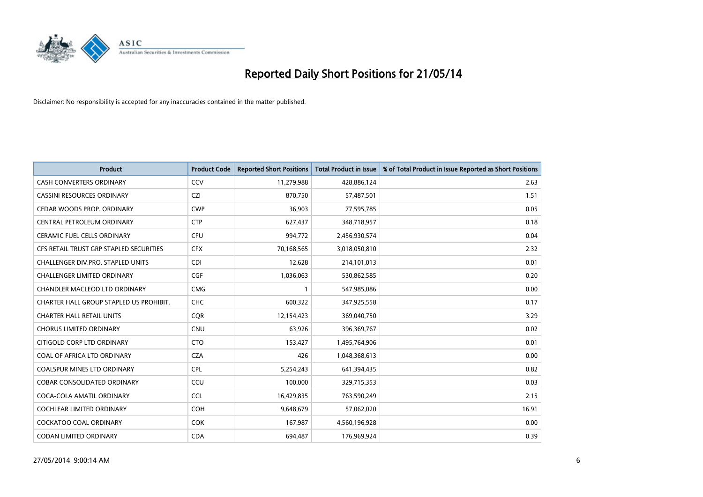

| <b>Product</b>                          | <b>Product Code</b> | <b>Reported Short Positions</b> | <b>Total Product in Issue</b> | % of Total Product in Issue Reported as Short Positions |
|-----------------------------------------|---------------------|---------------------------------|-------------------------------|---------------------------------------------------------|
| <b>CASH CONVERTERS ORDINARY</b>         | CCV                 | 11,279,988                      | 428,886,124                   | 2.63                                                    |
| CASSINI RESOURCES ORDINARY              | <b>CZI</b>          | 870,750                         | 57,487,501                    | 1.51                                                    |
| CEDAR WOODS PROP. ORDINARY              | <b>CWP</b>          | 36,903                          | 77,595,785                    | 0.05                                                    |
| CENTRAL PETROLEUM ORDINARY              | <b>CTP</b>          | 627,437                         | 348,718,957                   | 0.18                                                    |
| <b>CERAMIC FUEL CELLS ORDINARY</b>      | <b>CFU</b>          | 994,772                         | 2,456,930,574                 | 0.04                                                    |
| CFS RETAIL TRUST GRP STAPLED SECURITIES | <b>CFX</b>          | 70,168,565                      | 3,018,050,810                 | 2.32                                                    |
| CHALLENGER DIV.PRO. STAPLED UNITS       | <b>CDI</b>          | 12,628                          | 214,101,013                   | 0.01                                                    |
| CHALLENGER LIMITED ORDINARY             | <b>CGF</b>          | 1,036,063                       | 530,862,585                   | 0.20                                                    |
| CHANDLER MACLEOD LTD ORDINARY           | <b>CMG</b>          | 1                               | 547,985,086                   | 0.00                                                    |
| CHARTER HALL GROUP STAPLED US PROHIBIT. | <b>CHC</b>          | 600,322                         | 347,925,558                   | 0.17                                                    |
| <b>CHARTER HALL RETAIL UNITS</b>        | <b>CQR</b>          | 12,154,423                      | 369,040,750                   | 3.29                                                    |
| <b>CHORUS LIMITED ORDINARY</b>          | <b>CNU</b>          | 63,926                          | 396,369,767                   | 0.02                                                    |
| CITIGOLD CORP LTD ORDINARY              | <b>CTO</b>          | 153,427                         | 1,495,764,906                 | 0.01                                                    |
| COAL OF AFRICA LTD ORDINARY             | <b>CZA</b>          | 426                             | 1,048,368,613                 | 0.00                                                    |
| <b>COALSPUR MINES LTD ORDINARY</b>      | <b>CPL</b>          | 5,254,243                       | 641,394,435                   | 0.82                                                    |
| COBAR CONSOLIDATED ORDINARY             | CCU                 | 100,000                         | 329,715,353                   | 0.03                                                    |
| COCA-COLA AMATIL ORDINARY               | <b>CCL</b>          | 16,429,835                      | 763,590,249                   | 2.15                                                    |
| COCHLEAR LIMITED ORDINARY               | <b>COH</b>          | 9,648,679                       | 57,062,020                    | 16.91                                                   |
| <b>COCKATOO COAL ORDINARY</b>           | <b>COK</b>          | 167,987                         | 4,560,196,928                 | 0.00                                                    |
| CODAN LIMITED ORDINARY                  | <b>CDA</b>          | 694,487                         | 176,969,924                   | 0.39                                                    |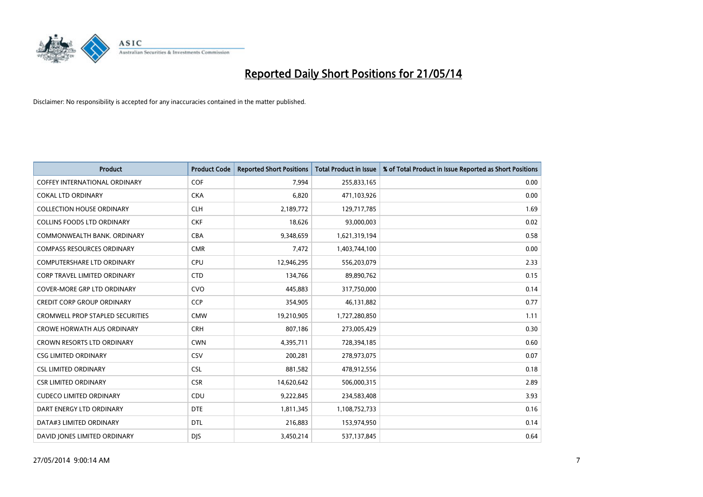

| <b>Product</b>                       | <b>Product Code</b> | <b>Reported Short Positions</b> | <b>Total Product in Issue</b> | % of Total Product in Issue Reported as Short Positions |
|--------------------------------------|---------------------|---------------------------------|-------------------------------|---------------------------------------------------------|
| <b>COFFEY INTERNATIONAL ORDINARY</b> | <b>COF</b>          | 7,994                           | 255,833,165                   | 0.00                                                    |
| <b>COKAL LTD ORDINARY</b>            | <b>CKA</b>          | 6,820                           | 471,103,926                   | 0.00                                                    |
| <b>COLLECTION HOUSE ORDINARY</b>     | <b>CLH</b>          | 2,189,772                       | 129,717,785                   | 1.69                                                    |
| <b>COLLINS FOODS LTD ORDINARY</b>    | <b>CKF</b>          | 18,626                          | 93,000,003                    | 0.02                                                    |
| COMMONWEALTH BANK, ORDINARY          | <b>CBA</b>          | 9,348,659                       | 1,621,319,194                 | 0.58                                                    |
| <b>COMPASS RESOURCES ORDINARY</b>    | <b>CMR</b>          | 7,472                           | 1,403,744,100                 | 0.00                                                    |
| <b>COMPUTERSHARE LTD ORDINARY</b>    | <b>CPU</b>          | 12,946,295                      | 556,203,079                   | 2.33                                                    |
| <b>CORP TRAVEL LIMITED ORDINARY</b>  | <b>CTD</b>          | 134,766                         | 89,890,762                    | 0.15                                                    |
| <b>COVER-MORE GRP LTD ORDINARY</b>   | <b>CVO</b>          | 445,883                         | 317,750,000                   | 0.14                                                    |
| <b>CREDIT CORP GROUP ORDINARY</b>    | CCP                 | 354,905                         | 46,131,882                    | 0.77                                                    |
| CROMWELL PROP STAPLED SECURITIES     | <b>CMW</b>          | 19,210,905                      | 1,727,280,850                 | 1.11                                                    |
| <b>CROWE HORWATH AUS ORDINARY</b>    | <b>CRH</b>          | 807,186                         | 273,005,429                   | 0.30                                                    |
| CROWN RESORTS LTD ORDINARY           | <b>CWN</b>          | 4,395,711                       | 728,394,185                   | 0.60                                                    |
| <b>CSG LIMITED ORDINARY</b>          | CSV                 | 200,281                         | 278,973,075                   | 0.07                                                    |
| <b>CSL LIMITED ORDINARY</b>          | <b>CSL</b>          | 881,582                         | 478,912,556                   | 0.18                                                    |
| <b>CSR LIMITED ORDINARY</b>          | <b>CSR</b>          | 14,620,642                      | 506,000,315                   | 2.89                                                    |
| <b>CUDECO LIMITED ORDINARY</b>       | <b>CDU</b>          | 9,222,845                       | 234,583,408                   | 3.93                                                    |
| DART ENERGY LTD ORDINARY             | <b>DTE</b>          | 1,811,345                       | 1,108,752,733                 | 0.16                                                    |
| DATA#3 LIMITED ORDINARY              | <b>DTL</b>          | 216,883                         | 153,974,950                   | 0.14                                                    |
| DAVID JONES LIMITED ORDINARY         | <b>DJS</b>          | 3,450,214                       | 537,137,845                   | 0.64                                                    |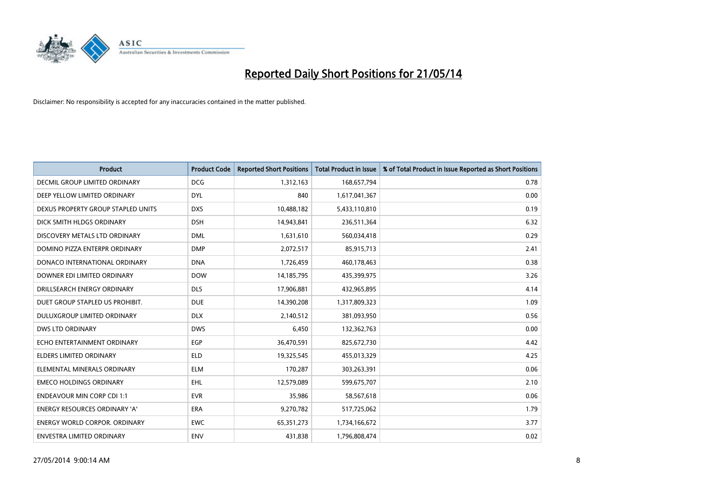

| Product                              | <b>Product Code</b> | <b>Reported Short Positions</b> | <b>Total Product in Issue</b> | % of Total Product in Issue Reported as Short Positions |
|--------------------------------------|---------------------|---------------------------------|-------------------------------|---------------------------------------------------------|
| DECMIL GROUP LIMITED ORDINARY        | <b>DCG</b>          | 1,312,163                       | 168,657,794                   | 0.78                                                    |
| DEEP YELLOW LIMITED ORDINARY         | <b>DYL</b>          | 840                             | 1,617,041,367                 | 0.00                                                    |
| DEXUS PROPERTY GROUP STAPLED UNITS   | <b>DXS</b>          | 10,488,182                      | 5,433,110,810                 | 0.19                                                    |
| DICK SMITH HLDGS ORDINARY            | <b>DSH</b>          | 14,943,841                      | 236,511,364                   | 6.32                                                    |
| DISCOVERY METALS LTD ORDINARY        | <b>DML</b>          | 1,631,610                       | 560,034,418                   | 0.29                                                    |
| DOMINO PIZZA ENTERPR ORDINARY        | <b>DMP</b>          | 2,072,517                       | 85,915,713                    | 2.41                                                    |
| DONACO INTERNATIONAL ORDINARY        | <b>DNA</b>          | 1,726,459                       | 460,178,463                   | 0.38                                                    |
| DOWNER EDI LIMITED ORDINARY          | <b>DOW</b>          | 14,185,795                      | 435,399,975                   | 3.26                                                    |
| DRILLSEARCH ENERGY ORDINARY          | <b>DLS</b>          | 17,906,881                      | 432,965,895                   | 4.14                                                    |
| DUET GROUP STAPLED US PROHIBIT.      | <b>DUE</b>          | 14,390,208                      | 1,317,809,323                 | 1.09                                                    |
| <b>DULUXGROUP LIMITED ORDINARY</b>   | <b>DLX</b>          | 2,140,512                       | 381,093,950                   | 0.56                                                    |
| DWS LTD ORDINARY                     | <b>DWS</b>          | 6,450                           | 132,362,763                   | 0.00                                                    |
| ECHO ENTERTAINMENT ORDINARY          | <b>EGP</b>          | 36,470,591                      | 825,672,730                   | 4.42                                                    |
| <b>ELDERS LIMITED ORDINARY</b>       | <b>ELD</b>          | 19,325,545                      | 455,013,329                   | 4.25                                                    |
| ELEMENTAL MINERALS ORDINARY          | <b>ELM</b>          | 170,287                         | 303,263,391                   | 0.06                                                    |
| <b>EMECO HOLDINGS ORDINARY</b>       | <b>EHL</b>          | 12,579,089                      | 599,675,707                   | 2.10                                                    |
| <b>ENDEAVOUR MIN CORP CDI 1:1</b>    | <b>EVR</b>          | 35,986                          | 58,567,618                    | 0.06                                                    |
| ENERGY RESOURCES ORDINARY 'A'        | <b>ERA</b>          | 9,270,782                       | 517,725,062                   | 1.79                                                    |
| <b>ENERGY WORLD CORPOR, ORDINARY</b> | <b>EWC</b>          | 65, 351, 273                    | 1,734,166,672                 | 3.77                                                    |
| ENVESTRA LIMITED ORDINARY            | <b>ENV</b>          | 431,838                         | 1,796,808,474                 | 0.02                                                    |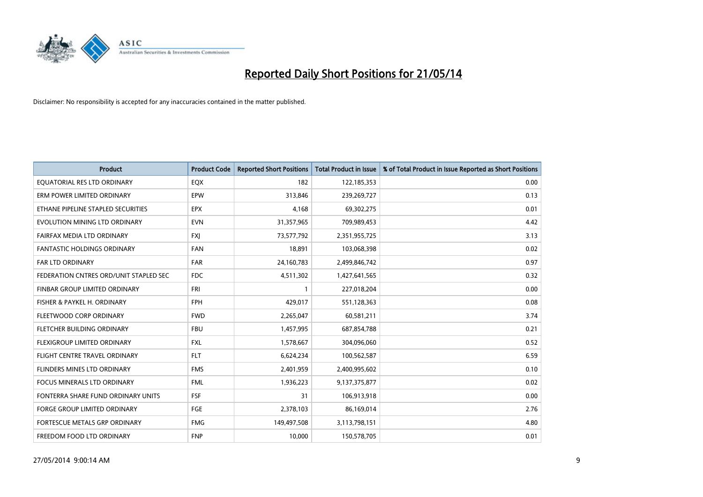

| <b>Product</b>                         | <b>Product Code</b> | <b>Reported Short Positions</b> | <b>Total Product in Issue</b> | % of Total Product in Issue Reported as Short Positions |
|----------------------------------------|---------------------|---------------------------------|-------------------------------|---------------------------------------------------------|
| EQUATORIAL RES LTD ORDINARY            | EQX                 | 182                             | 122,185,353                   | 0.00                                                    |
| ERM POWER LIMITED ORDINARY             | <b>EPW</b>          | 313,846                         | 239,269,727                   | 0.13                                                    |
| ETHANE PIPELINE STAPLED SECURITIES     | <b>EPX</b>          | 4,168                           | 69,302,275                    | 0.01                                                    |
| EVOLUTION MINING LTD ORDINARY          | <b>EVN</b>          | 31,357,965                      | 709,989,453                   | 4.42                                                    |
| FAIRFAX MEDIA LTD ORDINARY             | <b>FXI</b>          | 73,577,792                      | 2,351,955,725                 | 3.13                                                    |
| <b>FANTASTIC HOLDINGS ORDINARY</b>     | <b>FAN</b>          | 18,891                          | 103,068,398                   | 0.02                                                    |
| <b>FAR LTD ORDINARY</b>                | <b>FAR</b>          | 24,160,783                      | 2,499,846,742                 | 0.97                                                    |
| FEDERATION CNTRES ORD/UNIT STAPLED SEC | FDC                 | 4,511,302                       | 1,427,641,565                 | 0.32                                                    |
| FINBAR GROUP LIMITED ORDINARY          | <b>FRI</b>          | 1                               | 227,018,204                   | 0.00                                                    |
| FISHER & PAYKEL H. ORDINARY            | <b>FPH</b>          | 429,017                         | 551,128,363                   | 0.08                                                    |
| FLEETWOOD CORP ORDINARY                | <b>FWD</b>          | 2,265,047                       | 60,581,211                    | 3.74                                                    |
| FLETCHER BUILDING ORDINARY             | <b>FBU</b>          | 1,457,995                       | 687,854,788                   | 0.21                                                    |
| FLEXIGROUP LIMITED ORDINARY            | <b>FXL</b>          | 1,578,667                       | 304,096,060                   | 0.52                                                    |
| FLIGHT CENTRE TRAVEL ORDINARY          | <b>FLT</b>          | 6,624,234                       | 100,562,587                   | 6.59                                                    |
| FLINDERS MINES LTD ORDINARY            | <b>FMS</b>          | 2,401,959                       | 2,400,995,602                 | 0.10                                                    |
| <b>FOCUS MINERALS LTD ORDINARY</b>     | <b>FML</b>          | 1,936,223                       | 9,137,375,877                 | 0.02                                                    |
| FONTERRA SHARE FUND ORDINARY UNITS     | FSF                 | 31                              | 106,913,918                   | 0.00                                                    |
| FORGE GROUP LIMITED ORDINARY           | FGE                 | 2,378,103                       | 86,169,014                    | 2.76                                                    |
| FORTESCUE METALS GRP ORDINARY          | <b>FMG</b>          | 149,497,508                     | 3,113,798,151                 | 4.80                                                    |
| FREEDOM FOOD LTD ORDINARY              | <b>FNP</b>          | 10,000                          | 150,578,705                   | 0.01                                                    |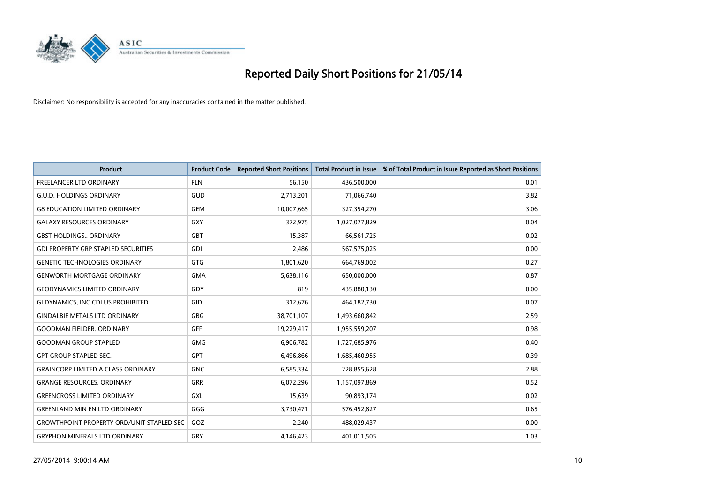

| <b>Product</b>                                   | <b>Product Code</b> | <b>Reported Short Positions</b> | <b>Total Product in Issue</b> | % of Total Product in Issue Reported as Short Positions |
|--------------------------------------------------|---------------------|---------------------------------|-------------------------------|---------------------------------------------------------|
| <b>FREELANCER LTD ORDINARY</b>                   | <b>FLN</b>          | 56,150                          | 436,500,000                   | 0.01                                                    |
| <b>G.U.D. HOLDINGS ORDINARY</b>                  | GUD                 | 2,713,201                       | 71,066,740                    | 3.82                                                    |
| <b>G8 EDUCATION LIMITED ORDINARY</b>             | <b>GEM</b>          | 10,007,665                      | 327,354,270                   | 3.06                                                    |
| <b>GALAXY RESOURCES ORDINARY</b>                 | <b>GXY</b>          | 372,975                         | 1,027,077,829                 | 0.04                                                    |
| <b>GBST HOLDINGS., ORDINARY</b>                  | <b>GBT</b>          | 15,387                          | 66,561,725                    | 0.02                                                    |
| <b>GDI PROPERTY GRP STAPLED SECURITIES</b>       | <b>GDI</b>          | 2,486                           | 567,575,025                   | 0.00                                                    |
| <b>GENETIC TECHNOLOGIES ORDINARY</b>             | <b>GTG</b>          | 1,801,620                       | 664,769,002                   | 0.27                                                    |
| <b>GENWORTH MORTGAGE ORDINARY</b>                | <b>GMA</b>          | 5,638,116                       | 650,000,000                   | 0.87                                                    |
| <b>GEODYNAMICS LIMITED ORDINARY</b>              | GDY                 | 819                             | 435,880,130                   | 0.00                                                    |
| GI DYNAMICS, INC CDI US PROHIBITED               | <b>GID</b>          | 312,676                         | 464,182,730                   | 0.07                                                    |
| <b>GINDALBIE METALS LTD ORDINARY</b>             | <b>GBG</b>          | 38,701,107                      | 1,493,660,842                 | 2.59                                                    |
| <b>GOODMAN FIELDER, ORDINARY</b>                 | <b>GFF</b>          | 19,229,417                      | 1,955,559,207                 | 0.98                                                    |
| <b>GOODMAN GROUP STAPLED</b>                     | <b>GMG</b>          | 6,906,782                       | 1,727,685,976                 | 0.40                                                    |
| <b>GPT GROUP STAPLED SEC.</b>                    | GPT                 | 6,496,866                       | 1,685,460,955                 | 0.39                                                    |
| <b>GRAINCORP LIMITED A CLASS ORDINARY</b>        | <b>GNC</b>          | 6,585,334                       | 228,855,628                   | 2.88                                                    |
| <b>GRANGE RESOURCES. ORDINARY</b>                | GRR                 | 6,072,296                       | 1,157,097,869                 | 0.52                                                    |
| <b>GREENCROSS LIMITED ORDINARY</b>               | GXL                 | 15,639                          | 90,893,174                    | 0.02                                                    |
| <b>GREENLAND MIN EN LTD ORDINARY</b>             | GGG                 | 3,730,471                       | 576,452,827                   | 0.65                                                    |
| <b>GROWTHPOINT PROPERTY ORD/UNIT STAPLED SEC</b> | GOZ                 | 2,240                           | 488,029,437                   | 0.00                                                    |
| <b>GRYPHON MINERALS LTD ORDINARY</b>             | GRY                 | 4,146,423                       | 401,011,505                   | 1.03                                                    |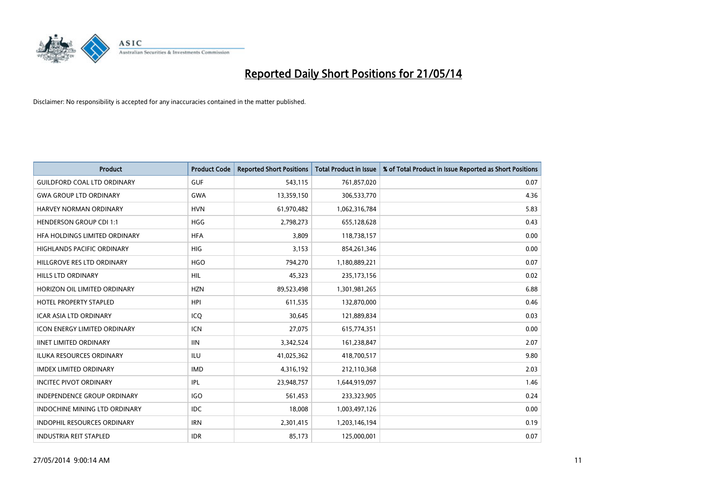

| <b>Product</b>                       | <b>Product Code</b> | <b>Reported Short Positions</b> | <b>Total Product in Issue</b> | % of Total Product in Issue Reported as Short Positions |
|--------------------------------------|---------------------|---------------------------------|-------------------------------|---------------------------------------------------------|
| <b>GUILDFORD COAL LTD ORDINARY</b>   | <b>GUF</b>          | 543,115                         | 761,857,020                   | 0.07                                                    |
| <b>GWA GROUP LTD ORDINARY</b>        | <b>GWA</b>          | 13,359,150                      | 306,533,770                   | 4.36                                                    |
| HARVEY NORMAN ORDINARY               | <b>HVN</b>          | 61,970,482                      | 1,062,316,784                 | 5.83                                                    |
| <b>HENDERSON GROUP CDI 1:1</b>       | <b>HGG</b>          | 2,798,273                       | 655,128,628                   | 0.43                                                    |
| HEA HOLDINGS LIMITED ORDINARY        | <b>HFA</b>          | 3,809                           | 118,738,157                   | 0.00                                                    |
| <b>HIGHLANDS PACIFIC ORDINARY</b>    | <b>HIG</b>          | 3,153                           | 854,261,346                   | 0.00                                                    |
| HILLGROVE RES LTD ORDINARY           | <b>HGO</b>          | 794,270                         | 1,180,889,221                 | 0.07                                                    |
| HILLS LTD ORDINARY                   | <b>HIL</b>          | 45,323                          | 235, 173, 156                 | 0.02                                                    |
| HORIZON OIL LIMITED ORDINARY         | <b>HZN</b>          | 89,523,498                      | 1,301,981,265                 | 6.88                                                    |
| <b>HOTEL PROPERTY STAPLED</b>        | <b>HPI</b>          | 611,535                         | 132,870,000                   | 0.46                                                    |
| ICAR ASIA LTD ORDINARY               | ICQ                 | 30,645                          | 121,889,834                   | 0.03                                                    |
| <b>ICON ENERGY LIMITED ORDINARY</b>  | <b>ICN</b>          | 27,075                          | 615,774,351                   | 0.00                                                    |
| <b>IINET LIMITED ORDINARY</b>        | <b>IIN</b>          | 3,342,524                       | 161,238,847                   | 2.07                                                    |
| <b>ILUKA RESOURCES ORDINARY</b>      | ILU                 | 41,025,362                      | 418,700,517                   | 9.80                                                    |
| <b>IMDEX LIMITED ORDINARY</b>        | <b>IMD</b>          | 4,316,192                       | 212,110,368                   | 2.03                                                    |
| <b>INCITEC PIVOT ORDINARY</b>        | IPL                 | 23,948,757                      | 1,644,919,097                 | 1.46                                                    |
| INDEPENDENCE GROUP ORDINARY          | <b>IGO</b>          | 561,453                         | 233,323,905                   | 0.24                                                    |
| <b>INDOCHINE MINING LTD ORDINARY</b> | IDC.                | 18,008                          | 1,003,497,126                 | 0.00                                                    |
| <b>INDOPHIL RESOURCES ORDINARY</b>   | <b>IRN</b>          | 2,301,415                       | 1,203,146,194                 | 0.19                                                    |
| <b>INDUSTRIA REIT STAPLED</b>        | <b>IDR</b>          | 85,173                          | 125,000,001                   | 0.07                                                    |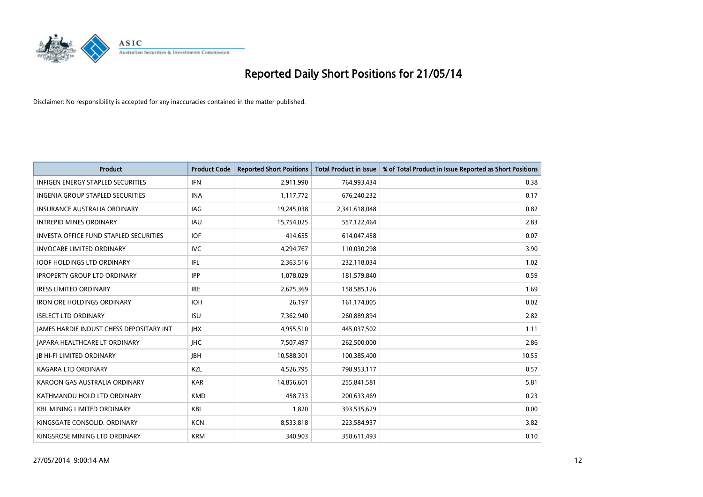

| <b>Product</b>                                | <b>Product Code</b> | <b>Reported Short Positions</b> | <b>Total Product in Issue</b> | % of Total Product in Issue Reported as Short Positions |
|-----------------------------------------------|---------------------|---------------------------------|-------------------------------|---------------------------------------------------------|
| <b>INFIGEN ENERGY STAPLED SECURITIES</b>      | <b>IFN</b>          | 2,911,990                       | 764,993,434                   | 0.38                                                    |
| INGENIA GROUP STAPLED SECURITIES              | <b>INA</b>          | 1,117,772                       | 676,240,232                   | 0.17                                                    |
| <b>INSURANCE AUSTRALIA ORDINARY</b>           | IAG                 | 19,245,038                      | 2,341,618,048                 | 0.82                                                    |
| <b>INTREPID MINES ORDINARY</b>                | <b>IAU</b>          | 15,754,025                      | 557,122,464                   | 2.83                                                    |
| <b>INVESTA OFFICE FUND STAPLED SECURITIES</b> | <b>IOF</b>          | 414,655                         | 614,047,458                   | 0.07                                                    |
| <b>INVOCARE LIMITED ORDINARY</b>              | <b>IVC</b>          | 4,294,767                       | 110,030,298                   | 3.90                                                    |
| <b>IOOF HOLDINGS LTD ORDINARY</b>             | IFL                 | 2,363,516                       | 232,118,034                   | 1.02                                                    |
| <b>IPROPERTY GROUP LTD ORDINARY</b>           | <b>IPP</b>          | 1,078,029                       | 181,579,840                   | 0.59                                                    |
| <b>IRESS LIMITED ORDINARY</b>                 | <b>IRE</b>          | 2,675,369                       | 158,585,126                   | 1.69                                                    |
| <b>IRON ORE HOLDINGS ORDINARY</b>             | <b>IOH</b>          | 26,197                          | 161,174,005                   | 0.02                                                    |
| <b>ISELECT LTD ORDINARY</b>                   | <b>ISU</b>          | 7,362,940                       | 260,889,894                   | 2.82                                                    |
| JAMES HARDIE INDUST CHESS DEPOSITARY INT      | <b>IHX</b>          | 4,955,510                       | 445,037,502                   | 1.11                                                    |
| <b>JAPARA HEALTHCARE LT ORDINARY</b>          | <b>IHC</b>          | 7,507,497                       | 262,500,000                   | 2.86                                                    |
| <b>JB HI-FI LIMITED ORDINARY</b>              | <b>IBH</b>          | 10,588,301                      | 100,385,400                   | 10.55                                                   |
| <b>KAGARA LTD ORDINARY</b>                    | KZL                 | 4,526,795                       | 798,953,117                   | 0.57                                                    |
| KAROON GAS AUSTRALIA ORDINARY                 | <b>KAR</b>          | 14,856,601                      | 255,841,581                   | 5.81                                                    |
| KATHMANDU HOLD LTD ORDINARY                   | <b>KMD</b>          | 458,733                         | 200,633,469                   | 0.23                                                    |
| <b>KBL MINING LIMITED ORDINARY</b>            | <b>KBL</b>          | 1,820                           | 393,535,629                   | 0.00                                                    |
| KINGSGATE CONSOLID. ORDINARY                  | <b>KCN</b>          | 8,533,818                       | 223,584,937                   | 3.82                                                    |
| KINGSROSE MINING LTD ORDINARY                 | <b>KRM</b>          | 340,903                         | 358,611,493                   | 0.10                                                    |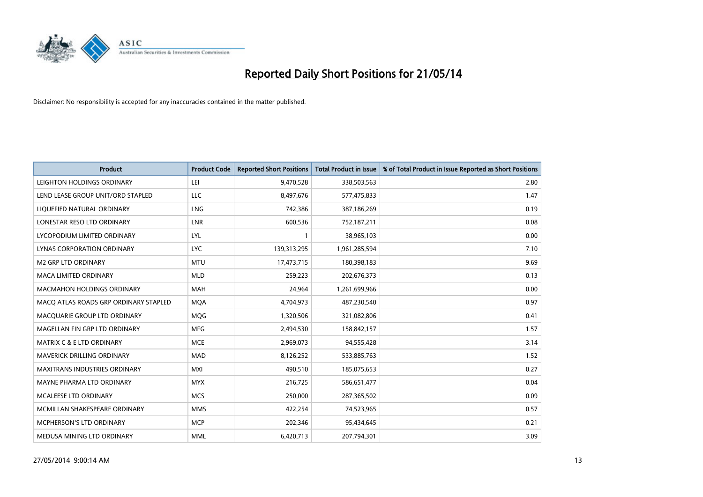

| <b>Product</b>                        | <b>Product Code</b> | <b>Reported Short Positions</b> | <b>Total Product in Issue</b> | % of Total Product in Issue Reported as Short Positions |
|---------------------------------------|---------------------|---------------------------------|-------------------------------|---------------------------------------------------------|
| LEIGHTON HOLDINGS ORDINARY            | LEI                 | 9,470,528                       | 338,503,563                   | 2.80                                                    |
| LEND LEASE GROUP UNIT/ORD STAPLED     | LLC                 | 8,497,676                       | 577,475,833                   | 1.47                                                    |
| LIQUEFIED NATURAL ORDINARY            | <b>LNG</b>          | 742,386                         | 387,186,269                   | 0.19                                                    |
| LONESTAR RESO LTD ORDINARY            | <b>LNR</b>          | 600,536                         | 752,187,211                   | 0.08                                                    |
| LYCOPODIUM LIMITED ORDINARY           | LYL                 | 1                               | 38,965,103                    | 0.00                                                    |
| LYNAS CORPORATION ORDINARY            | <b>LYC</b>          | 139,313,295                     | 1,961,285,594                 | 7.10                                                    |
| <b>M2 GRP LTD ORDINARY</b>            | <b>MTU</b>          | 17,473,715                      | 180,398,183                   | 9.69                                                    |
| MACA LIMITED ORDINARY                 | <b>MLD</b>          | 259,223                         | 202,676,373                   | 0.13                                                    |
| <b>MACMAHON HOLDINGS ORDINARY</b>     | <b>MAH</b>          | 24.964                          | 1,261,699,966                 | 0.00                                                    |
| MACO ATLAS ROADS GRP ORDINARY STAPLED | <b>MOA</b>          | 4,704,973                       | 487,230,540                   | 0.97                                                    |
| MACQUARIE GROUP LTD ORDINARY          | MQG                 | 1,320,506                       | 321,082,806                   | 0.41                                                    |
| MAGELLAN FIN GRP LTD ORDINARY         | <b>MFG</b>          | 2,494,530                       | 158,842,157                   | 1.57                                                    |
| <b>MATRIX C &amp; E LTD ORDINARY</b>  | <b>MCE</b>          | 2,969,073                       | 94,555,428                    | 3.14                                                    |
| MAVERICK DRILLING ORDINARY            | MAD                 | 8,126,252                       | 533,885,763                   | 1.52                                                    |
| <b>MAXITRANS INDUSTRIES ORDINARY</b>  | <b>MXI</b>          | 490,510                         | 185,075,653                   | 0.27                                                    |
| MAYNE PHARMA LTD ORDINARY             | <b>MYX</b>          | 216,725                         | 586,651,477                   | 0.04                                                    |
| MCALEESE LTD ORDINARY                 | <b>MCS</b>          | 250,000                         | 287,365,502                   | 0.09                                                    |
| MCMILLAN SHAKESPEARE ORDINARY         | <b>MMS</b>          | 422,254                         | 74,523,965                    | 0.57                                                    |
| MCPHERSON'S LTD ORDINARY              | <b>MCP</b>          | 202,346                         | 95,434,645                    | 0.21                                                    |
| MEDUSA MINING LTD ORDINARY            | <b>MML</b>          | 6,420,713                       | 207,794,301                   | 3.09                                                    |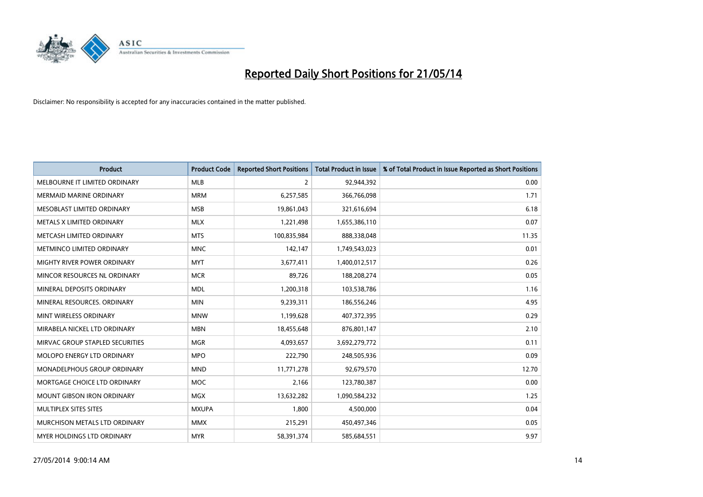

| <b>Product</b>                     | <b>Product Code</b> | <b>Reported Short Positions</b> | <b>Total Product in Issue</b> | % of Total Product in Issue Reported as Short Positions |
|------------------------------------|---------------------|---------------------------------|-------------------------------|---------------------------------------------------------|
| MELBOURNE IT LIMITED ORDINARY      | <b>MLB</b>          | $\overline{2}$                  | 92,944,392                    | 0.00                                                    |
| <b>MERMAID MARINE ORDINARY</b>     | <b>MRM</b>          | 6,257,585                       | 366,766,098                   | 1.71                                                    |
| MESOBLAST LIMITED ORDINARY         | <b>MSB</b>          | 19,861,043                      | 321,616,694                   | 6.18                                                    |
| METALS X LIMITED ORDINARY          | <b>MLX</b>          | 1,221,498                       | 1,655,386,110                 | 0.07                                                    |
| METCASH LIMITED ORDINARY           | <b>MTS</b>          | 100,835,984                     | 888,338,048                   | 11.35                                                   |
| METMINCO LIMITED ORDINARY          | <b>MNC</b>          | 142,147                         | 1,749,543,023                 | 0.01                                                    |
| <b>MIGHTY RIVER POWER ORDINARY</b> | <b>MYT</b>          | 3,677,411                       | 1,400,012,517                 | 0.26                                                    |
| MINCOR RESOURCES NL ORDINARY       | <b>MCR</b>          | 89,726                          | 188,208,274                   | 0.05                                                    |
| MINERAL DEPOSITS ORDINARY          | <b>MDL</b>          | 1,200,318                       | 103,538,786                   | 1.16                                                    |
| MINERAL RESOURCES, ORDINARY        | <b>MIN</b>          | 9,239,311                       | 186,556,246                   | 4.95                                                    |
| MINT WIRELESS ORDINARY             | <b>MNW</b>          | 1,199,628                       | 407,372,395                   | 0.29                                                    |
| MIRABELA NICKEL LTD ORDINARY       | <b>MBN</b>          | 18,455,648                      | 876,801,147                   | 2.10                                                    |
| MIRVAC GROUP STAPLED SECURITIES    | <b>MGR</b>          | 4,093,657                       | 3,692,279,772                 | 0.11                                                    |
| MOLOPO ENERGY LTD ORDINARY         | <b>MPO</b>          | 222,790                         | 248,505,936                   | 0.09                                                    |
| MONADELPHOUS GROUP ORDINARY        | <b>MND</b>          | 11,771,278                      | 92,679,570                    | 12.70                                                   |
| MORTGAGE CHOICE LTD ORDINARY       | <b>MOC</b>          | 2,166                           | 123,780,387                   | 0.00                                                    |
| <b>MOUNT GIBSON IRON ORDINARY</b>  | MGX                 | 13,632,282                      | 1,090,584,232                 | 1.25                                                    |
| MULTIPLEX SITES SITES              | <b>MXUPA</b>        | 1,800                           | 4,500,000                     | 0.04                                                    |
| MURCHISON METALS LTD ORDINARY      | <b>MMX</b>          | 215,291                         | 450,497,346                   | 0.05                                                    |
| MYER HOLDINGS LTD ORDINARY         | <b>MYR</b>          | 58,391,374                      | 585,684,551                   | 9.97                                                    |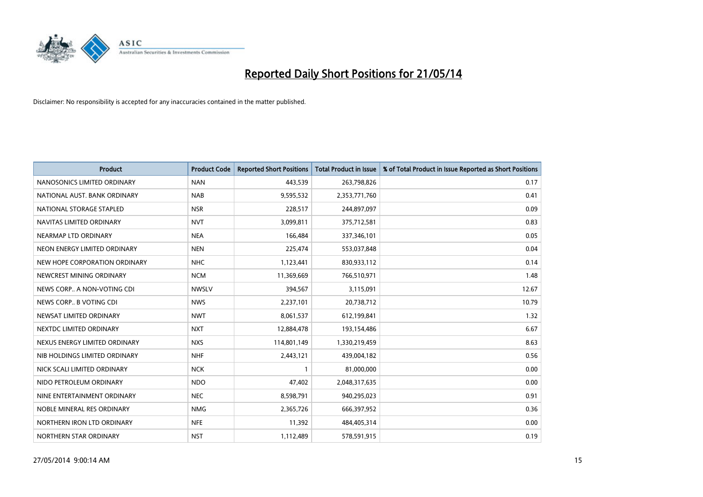

| <b>Product</b>                | <b>Product Code</b> | <b>Reported Short Positions</b> | <b>Total Product in Issue</b> | % of Total Product in Issue Reported as Short Positions |
|-------------------------------|---------------------|---------------------------------|-------------------------------|---------------------------------------------------------|
| NANOSONICS LIMITED ORDINARY   | <b>NAN</b>          | 443,539                         | 263,798,826                   | 0.17                                                    |
| NATIONAL AUST, BANK ORDINARY  | <b>NAB</b>          | 9,595,532                       | 2,353,771,760                 | 0.41                                                    |
| NATIONAL STORAGE STAPLED      | <b>NSR</b>          | 228,517                         | 244,897,097                   | 0.09                                                    |
| NAVITAS LIMITED ORDINARY      | <b>NVT</b>          | 3,099,811                       | 375,712,581                   | 0.83                                                    |
| NEARMAP LTD ORDINARY          | <b>NEA</b>          | 166,484                         | 337,346,101                   | 0.05                                                    |
| NEON ENERGY LIMITED ORDINARY  | <b>NEN</b>          | 225,474                         | 553,037,848                   | 0.04                                                    |
| NEW HOPE CORPORATION ORDINARY | NHC                 | 1,123,441                       | 830,933,112                   | 0.14                                                    |
| NEWCREST MINING ORDINARY      | <b>NCM</b>          | 11,369,669                      | 766,510,971                   | 1.48                                                    |
| NEWS CORP A NON-VOTING CDI    | <b>NWSLV</b>        | 394,567                         | 3,115,091                     | 12.67                                                   |
| NEWS CORP B VOTING CDI        | <b>NWS</b>          | 2,237,101                       | 20,738,712                    | 10.79                                                   |
| NEWSAT LIMITED ORDINARY       | <b>NWT</b>          | 8,061,537                       | 612,199,841                   | 1.32                                                    |
| NEXTDC LIMITED ORDINARY       | <b>NXT</b>          | 12,884,478                      | 193,154,486                   | 6.67                                                    |
| NEXUS ENERGY LIMITED ORDINARY | <b>NXS</b>          | 114,801,149                     | 1,330,219,459                 | 8.63                                                    |
| NIB HOLDINGS LIMITED ORDINARY | <b>NHF</b>          | 2,443,121                       | 439,004,182                   | 0.56                                                    |
| NICK SCALI LIMITED ORDINARY   | <b>NCK</b>          | $\mathbf{1}$                    | 81,000,000                    | 0.00                                                    |
| NIDO PETROLEUM ORDINARY       | <b>NDO</b>          | 47,402                          | 2,048,317,635                 | 0.00                                                    |
| NINE ENTERTAINMENT ORDINARY   | <b>NEC</b>          | 8,598,791                       | 940,295,023                   | 0.91                                                    |
| NOBLE MINERAL RES ORDINARY    | <b>NMG</b>          | 2,365,726                       | 666,397,952                   | 0.36                                                    |
| NORTHERN IRON LTD ORDINARY    | <b>NFE</b>          | 11,392                          | 484,405,314                   | 0.00                                                    |
| NORTHERN STAR ORDINARY        | <b>NST</b>          | 1,112,489                       | 578,591,915                   | 0.19                                                    |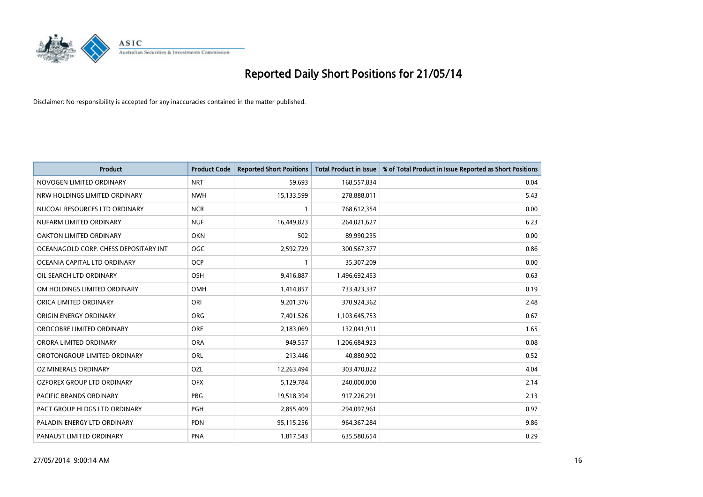

| <b>Product</b>                        | <b>Product Code</b> | <b>Reported Short Positions</b> | <b>Total Product in Issue</b> | % of Total Product in Issue Reported as Short Positions |
|---------------------------------------|---------------------|---------------------------------|-------------------------------|---------------------------------------------------------|
| NOVOGEN LIMITED ORDINARY              | <b>NRT</b>          | 59,693                          | 168,557,834                   | 0.04                                                    |
| NRW HOLDINGS LIMITED ORDINARY         | <b>NWH</b>          | 15,133,599                      | 278,888,011                   | 5.43                                                    |
| NUCOAL RESOURCES LTD ORDINARY         | <b>NCR</b>          | 1                               | 768,612,354                   | 0.00                                                    |
| NUFARM LIMITED ORDINARY               | <b>NUF</b>          | 16,449,823                      | 264,021,627                   | 6.23                                                    |
| <b>OAKTON LIMITED ORDINARY</b>        | <b>OKN</b>          | 502                             | 89,990,235                    | 0.00                                                    |
| OCEANAGOLD CORP. CHESS DEPOSITARY INT | OGC                 | 2,592,729                       | 300,567,377                   | 0.86                                                    |
| OCEANIA CAPITAL LTD ORDINARY          | <b>OCP</b>          | 1                               | 35,307,209                    | 0.00                                                    |
| OIL SEARCH LTD ORDINARY               | OSH                 | 9,416,887                       | 1,496,692,453                 | 0.63                                                    |
| OM HOLDINGS LIMITED ORDINARY          | OMH                 | 1,414,857                       | 733,423,337                   | 0.19                                                    |
| ORICA LIMITED ORDINARY                | ORI                 | 9,201,376                       | 370,924,362                   | 2.48                                                    |
| ORIGIN ENERGY ORDINARY                | <b>ORG</b>          | 7,401,526                       | 1,103,645,753                 | 0.67                                                    |
| OROCOBRE LIMITED ORDINARY             | <b>ORE</b>          | 2,183,069                       | 132,041,911                   | 1.65                                                    |
| ORORA LIMITED ORDINARY                | <b>ORA</b>          | 949,557                         | 1,206,684,923                 | 0.08                                                    |
| OROTONGROUP LIMITED ORDINARY          | ORL                 | 213,446                         | 40,880,902                    | 0.52                                                    |
| <b>OZ MINERALS ORDINARY</b>           | OZL                 | 12,263,494                      | 303,470,022                   | 4.04                                                    |
| <b>OZFOREX GROUP LTD ORDINARY</b>     | <b>OFX</b>          | 5,129,784                       | 240,000,000                   | 2.14                                                    |
| <b>PACIFIC BRANDS ORDINARY</b>        | PBG                 | 19,518,394                      | 917,226,291                   | 2.13                                                    |
| PACT GROUP HLDGS LTD ORDINARY         | <b>PGH</b>          | 2,855,409                       | 294,097,961                   | 0.97                                                    |
| PALADIN ENERGY LTD ORDINARY           | <b>PDN</b>          | 95,115,256                      | 964, 367, 284                 | 9.86                                                    |
| PANAUST LIMITED ORDINARY              | <b>PNA</b>          | 1,817,543                       | 635,580,654                   | 0.29                                                    |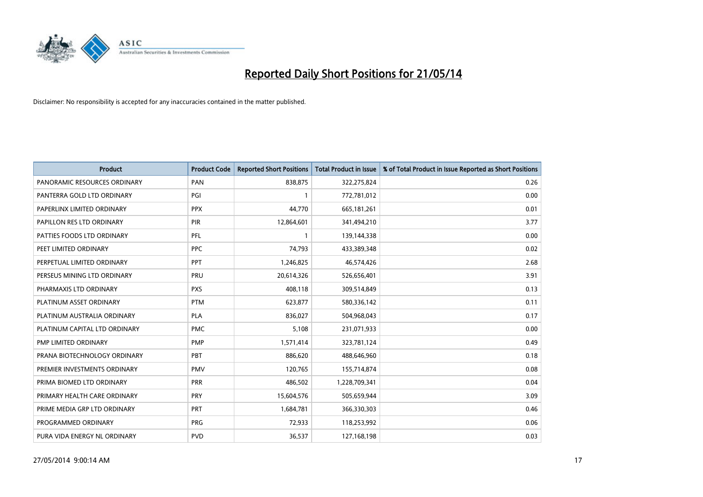

| <b>Product</b>                | <b>Product Code</b> | <b>Reported Short Positions</b> | <b>Total Product in Issue</b> | % of Total Product in Issue Reported as Short Positions |
|-------------------------------|---------------------|---------------------------------|-------------------------------|---------------------------------------------------------|
| PANORAMIC RESOURCES ORDINARY  | PAN                 | 838,875                         | 322,275,824                   | 0.26                                                    |
| PANTERRA GOLD LTD ORDINARY    | PGI                 |                                 | 772,781,012                   | 0.00                                                    |
| PAPERLINX LIMITED ORDINARY    | <b>PPX</b>          | 44,770                          | 665,181,261                   | 0.01                                                    |
| PAPILLON RES LTD ORDINARY     | <b>PIR</b>          | 12,864,601                      | 341,494,210                   | 3.77                                                    |
| PATTIES FOODS LTD ORDINARY    | PFL                 | $\mathbf{1}$                    | 139,144,338                   | 0.00                                                    |
| PEET LIMITED ORDINARY         | <b>PPC</b>          | 74,793                          | 433,389,348                   | 0.02                                                    |
| PERPETUAL LIMITED ORDINARY    | PPT                 | 1,246,825                       | 46,574,426                    | 2.68                                                    |
| PERSEUS MINING LTD ORDINARY   | PRU                 | 20,614,326                      | 526,656,401                   | 3.91                                                    |
| PHARMAXIS LTD ORDINARY        | <b>PXS</b>          | 408,118                         | 309,514,849                   | 0.13                                                    |
| PLATINUM ASSET ORDINARY       | <b>PTM</b>          | 623,877                         | 580,336,142                   | 0.11                                                    |
| PLATINUM AUSTRALIA ORDINARY   | <b>PLA</b>          | 836,027                         | 504,968,043                   | 0.17                                                    |
| PLATINUM CAPITAL LTD ORDINARY | <b>PMC</b>          | 5,108                           | 231,071,933                   | 0.00                                                    |
| PMP LIMITED ORDINARY          | <b>PMP</b>          | 1,571,414                       | 323,781,124                   | 0.49                                                    |
| PRANA BIOTECHNOLOGY ORDINARY  | PBT                 | 886,620                         | 488,646,960                   | 0.18                                                    |
| PREMIER INVESTMENTS ORDINARY  | <b>PMV</b>          | 120,765                         | 155,714,874                   | 0.08                                                    |
| PRIMA BIOMED LTD ORDINARY     | <b>PRR</b>          | 486,502                         | 1,228,709,341                 | 0.04                                                    |
| PRIMARY HEALTH CARE ORDINARY  | <b>PRY</b>          | 15,604,576                      | 505,659,944                   | 3.09                                                    |
| PRIME MEDIA GRP LTD ORDINARY  | PRT                 | 1,684,781                       | 366,330,303                   | 0.46                                                    |
| PROGRAMMED ORDINARY           | <b>PRG</b>          | 72,933                          | 118,253,992                   | 0.06                                                    |
| PURA VIDA ENERGY NL ORDINARY  | <b>PVD</b>          | 36,537                          | 127,168,198                   | 0.03                                                    |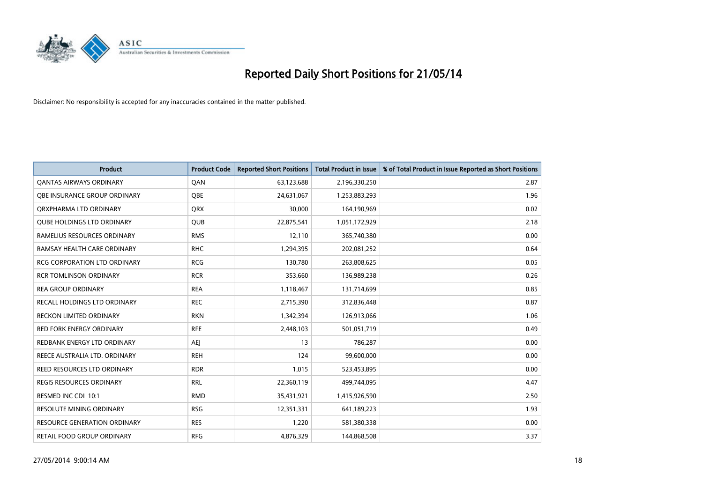

| <b>Product</b>                      | <b>Product Code</b> | <b>Reported Short Positions</b> | <b>Total Product in Issue</b> | % of Total Product in Issue Reported as Short Positions |
|-------------------------------------|---------------------|---------------------------------|-------------------------------|---------------------------------------------------------|
| <b>QANTAS AIRWAYS ORDINARY</b>      | QAN                 | 63,123,688                      | 2,196,330,250                 | 2.87                                                    |
| OBE INSURANCE GROUP ORDINARY        | QBE                 | 24,631,067                      | 1,253,883,293                 | 1.96                                                    |
| ORXPHARMA LTD ORDINARY              | <b>ORX</b>          | 30,000                          | 164,190,969                   | 0.02                                                    |
| <b>QUBE HOLDINGS LTD ORDINARY</b>   | QUB                 | 22,875,541                      | 1,051,172,929                 | 2.18                                                    |
| RAMELIUS RESOURCES ORDINARY         | <b>RMS</b>          | 12,110                          | 365,740,380                   | 0.00                                                    |
| RAMSAY HEALTH CARE ORDINARY         | <b>RHC</b>          | 1,294,395                       | 202,081,252                   | 0.64                                                    |
| <b>RCG CORPORATION LTD ORDINARY</b> | <b>RCG</b>          | 130,780                         | 263,808,625                   | 0.05                                                    |
| <b>RCR TOMLINSON ORDINARY</b>       | <b>RCR</b>          | 353,660                         | 136,989,238                   | 0.26                                                    |
| <b>REA GROUP ORDINARY</b>           | <b>REA</b>          | 1,118,467                       | 131,714,699                   | 0.85                                                    |
| RECALL HOLDINGS LTD ORDINARY        | <b>REC</b>          | 2,715,390                       | 312,836,448                   | 0.87                                                    |
| RECKON LIMITED ORDINARY             | <b>RKN</b>          | 1,342,394                       | 126,913,066                   | 1.06                                                    |
| <b>RED FORK ENERGY ORDINARY</b>     | <b>RFE</b>          | 2,448,103                       | 501,051,719                   | 0.49                                                    |
| REDBANK ENERGY LTD ORDINARY         | <b>AEJ</b>          | 13                              | 786,287                       | 0.00                                                    |
| REECE AUSTRALIA LTD. ORDINARY       | <b>REH</b>          | 124                             | 99,600,000                    | 0.00                                                    |
| REED RESOURCES LTD ORDINARY         | <b>RDR</b>          | 1,015                           | 523,453,895                   | 0.00                                                    |
| REGIS RESOURCES ORDINARY            | <b>RRL</b>          | 22,360,119                      | 499,744,095                   | 4.47                                                    |
| RESMED INC CDI 10:1                 | <b>RMD</b>          | 35,431,921                      | 1,415,926,590                 | 2.50                                                    |
| <b>RESOLUTE MINING ORDINARY</b>     | <b>RSG</b>          | 12,351,331                      | 641,189,223                   | 1.93                                                    |
| <b>RESOURCE GENERATION ORDINARY</b> | <b>RES</b>          | 1,220                           | 581,380,338                   | 0.00                                                    |
| RETAIL FOOD GROUP ORDINARY          | <b>RFG</b>          | 4,876,329                       | 144,868,508                   | 3.37                                                    |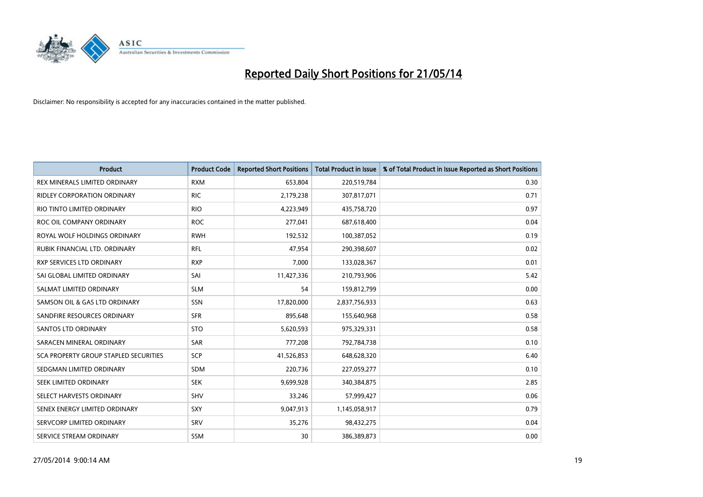

| <b>Product</b>                               | <b>Product Code</b> | <b>Reported Short Positions</b> | <b>Total Product in Issue</b> | % of Total Product in Issue Reported as Short Positions |
|----------------------------------------------|---------------------|---------------------------------|-------------------------------|---------------------------------------------------------|
| REX MINERALS LIMITED ORDINARY                | <b>RXM</b>          | 653,804                         | 220,519,784                   | 0.30                                                    |
| <b>RIDLEY CORPORATION ORDINARY</b>           | <b>RIC</b>          | 2,179,238                       | 307,817,071                   | 0.71                                                    |
| RIO TINTO LIMITED ORDINARY                   | <b>RIO</b>          | 4,223,949                       | 435,758,720                   | 0.97                                                    |
| ROC OIL COMPANY ORDINARY                     | <b>ROC</b>          | 277,041                         | 687,618,400                   | 0.04                                                    |
| ROYAL WOLF HOLDINGS ORDINARY                 | <b>RWH</b>          | 192,532                         | 100,387,052                   | 0.19                                                    |
| RUBIK FINANCIAL LTD. ORDINARY                | <b>RFL</b>          | 47,954                          | 290,398,607                   | 0.02                                                    |
| RXP SERVICES LTD ORDINARY                    | <b>RXP</b>          | 7,000                           | 133,028,367                   | 0.01                                                    |
| SAI GLOBAL LIMITED ORDINARY                  | SAI                 | 11,427,336                      | 210,793,906                   | 5.42                                                    |
| SALMAT LIMITED ORDINARY                      | <b>SLM</b>          | 54                              | 159,812,799                   | 0.00                                                    |
| SAMSON OIL & GAS LTD ORDINARY                | SSN                 | 17,820,000                      | 2,837,756,933                 | 0.63                                                    |
| SANDFIRE RESOURCES ORDINARY                  | <b>SFR</b>          | 895,648                         | 155,640,968                   | 0.58                                                    |
| <b>SANTOS LTD ORDINARY</b>                   | <b>STO</b>          | 5,620,593                       | 975,329,331                   | 0.58                                                    |
| SARACEN MINERAL ORDINARY                     | SAR                 | 777,208                         | 792,784,738                   | 0.10                                                    |
| <b>SCA PROPERTY GROUP STAPLED SECURITIES</b> | <b>SCP</b>          | 41,526,853                      | 648,628,320                   | 6.40                                                    |
| SEDGMAN LIMITED ORDINARY                     | <b>SDM</b>          | 220,736                         | 227,059,277                   | 0.10                                                    |
| SEEK LIMITED ORDINARY                        | <b>SEK</b>          | 9,699,928                       | 340,384,875                   | 2.85                                                    |
| SELECT HARVESTS ORDINARY                     | SHV                 | 33,246                          | 57,999,427                    | 0.06                                                    |
| SENEX ENERGY LIMITED ORDINARY                | <b>SXY</b>          | 9,047,913                       | 1,145,058,917                 | 0.79                                                    |
| SERVCORP LIMITED ORDINARY                    | SRV                 | 35,276                          | 98,432,275                    | 0.04                                                    |
| SERVICE STREAM ORDINARY                      | <b>SSM</b>          | 30                              | 386,389,873                   | 0.00                                                    |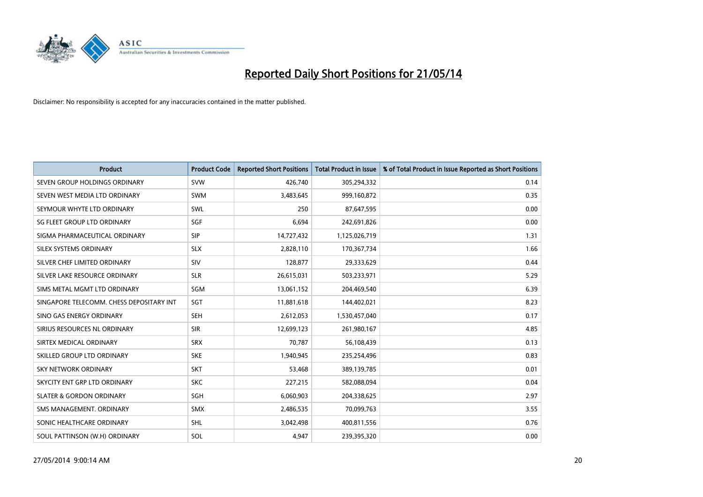

| <b>Product</b>                           | <b>Product Code</b> | <b>Reported Short Positions</b> | <b>Total Product in Issue</b> | % of Total Product in Issue Reported as Short Positions |
|------------------------------------------|---------------------|---------------------------------|-------------------------------|---------------------------------------------------------|
| SEVEN GROUP HOLDINGS ORDINARY            | <b>SVW</b>          | 426,740                         | 305,294,332                   | 0.14                                                    |
| SEVEN WEST MEDIA LTD ORDINARY            | <b>SWM</b>          | 3,483,645                       | 999,160,872                   | 0.35                                                    |
| SEYMOUR WHYTE LTD ORDINARY               | <b>SWL</b>          | 250                             | 87,647,595                    | 0.00                                                    |
| SG FLEET GROUP LTD ORDINARY              | SGF                 | 6,694                           | 242,691,826                   | 0.00                                                    |
| SIGMA PHARMACEUTICAL ORDINARY            | <b>SIP</b>          | 14,727,432                      | 1,125,026,719                 | 1.31                                                    |
| SILEX SYSTEMS ORDINARY                   | <b>SLX</b>          | 2,828,110                       | 170,367,734                   | 1.66                                                    |
| SILVER CHEF LIMITED ORDINARY             | <b>SIV</b>          | 128,877                         | 29,333,629                    | 0.44                                                    |
| SILVER LAKE RESOURCE ORDINARY            | <b>SLR</b>          | 26,615,031                      | 503,233,971                   | 5.29                                                    |
| SIMS METAL MGMT LTD ORDINARY             | SGM                 | 13,061,152                      | 204,469,540                   | 6.39                                                    |
| SINGAPORE TELECOMM. CHESS DEPOSITARY INT | SGT                 | 11,881,618                      | 144,402,021                   | 8.23                                                    |
| SINO GAS ENERGY ORDINARY                 | SEH                 | 2,612,053                       | 1,530,457,040                 | 0.17                                                    |
| SIRIUS RESOURCES NL ORDINARY             | <b>SIR</b>          | 12,699,123                      | 261,980,167                   | 4.85                                                    |
| SIRTEX MEDICAL ORDINARY                  | <b>SRX</b>          | 70,787                          | 56,108,439                    | 0.13                                                    |
| SKILLED GROUP LTD ORDINARY               | <b>SKE</b>          | 1,940,945                       | 235,254,496                   | 0.83                                                    |
| SKY NETWORK ORDINARY                     | <b>SKT</b>          | 53,468                          | 389,139,785                   | 0.01                                                    |
| SKYCITY ENT GRP LTD ORDINARY             | <b>SKC</b>          | 227,215                         | 582,088,094                   | 0.04                                                    |
| <b>SLATER &amp; GORDON ORDINARY</b>      | SGH                 | 6,060,903                       | 204,338,625                   | 2.97                                                    |
| SMS MANAGEMENT, ORDINARY                 | <b>SMX</b>          | 2,486,535                       | 70,099,763                    | 3.55                                                    |
| SONIC HEALTHCARE ORDINARY                | <b>SHL</b>          | 3,042,498                       | 400,811,556                   | 0.76                                                    |
| SOUL PATTINSON (W.H) ORDINARY            | SOL                 | 4,947                           | 239,395,320                   | 0.00                                                    |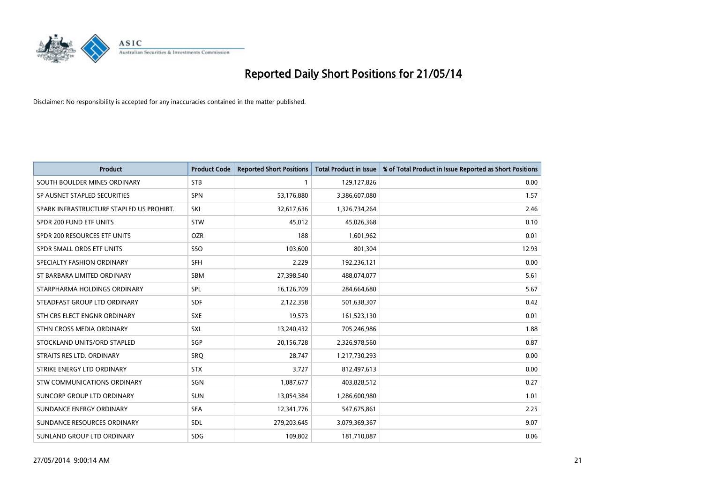

| <b>Product</b>                           | <b>Product Code</b> | <b>Reported Short Positions</b> | <b>Total Product in Issue</b> | % of Total Product in Issue Reported as Short Positions |
|------------------------------------------|---------------------|---------------------------------|-------------------------------|---------------------------------------------------------|
| SOUTH BOULDER MINES ORDINARY             | <b>STB</b>          | 1                               | 129,127,826                   | 0.00                                                    |
| SP AUSNET STAPLED SECURITIES             | <b>SPN</b>          | 53,176,880                      | 3,386,607,080                 | 1.57                                                    |
| SPARK INFRASTRUCTURE STAPLED US PROHIBT. | SKI                 | 32,617,636                      | 1,326,734,264                 | 2.46                                                    |
| SPDR 200 FUND ETF UNITS                  | <b>STW</b>          | 45,012                          | 45,026,368                    | 0.10                                                    |
| SPDR 200 RESOURCES ETF UNITS             | <b>OZR</b>          | 188                             | 1,601,962                     | 0.01                                                    |
| SPDR SMALL ORDS ETF UNITS                | SSO                 | 103,600                         | 801,304                       | 12.93                                                   |
| SPECIALTY FASHION ORDINARY               | SFH                 | 2,229                           | 192,236,121                   | 0.00                                                    |
| ST BARBARA LIMITED ORDINARY              | <b>SBM</b>          | 27,398,540                      | 488,074,077                   | 5.61                                                    |
| STARPHARMA HOLDINGS ORDINARY             | SPL                 | 16,126,709                      | 284,664,680                   | 5.67                                                    |
| STEADFAST GROUP LTD ORDINARY             | <b>SDF</b>          | 2,122,358                       | 501,638,307                   | 0.42                                                    |
| STH CRS ELECT ENGNR ORDINARY             | <b>SXE</b>          | 19,573                          | 161,523,130                   | 0.01                                                    |
| STHN CROSS MEDIA ORDINARY                | <b>SXL</b>          | 13,240,432                      | 705,246,986                   | 1.88                                                    |
| STOCKLAND UNITS/ORD STAPLED              | SGP                 | 20,156,728                      | 2,326,978,560                 | 0.87                                                    |
| STRAITS RES LTD. ORDINARY                | SRO                 | 28,747                          | 1,217,730,293                 | 0.00                                                    |
| STRIKE ENERGY LTD ORDINARY               | <b>STX</b>          | 3,727                           | 812,497,613                   | 0.00                                                    |
| STW COMMUNICATIONS ORDINARY              | SGN                 | 1,087,677                       | 403,828,512                   | 0.27                                                    |
| SUNCORP GROUP LTD ORDINARY               | <b>SUN</b>          | 13,054,384                      | 1,286,600,980                 | 1.01                                                    |
| SUNDANCE ENERGY ORDINARY                 | <b>SEA</b>          | 12,341,776                      | 547,675,861                   | 2.25                                                    |
| SUNDANCE RESOURCES ORDINARY              | <b>SDL</b>          | 279,203,645                     | 3,079,369,367                 | 9.07                                                    |
| SUNLAND GROUP LTD ORDINARY               | <b>SDG</b>          | 109,802                         | 181,710,087                   | 0.06                                                    |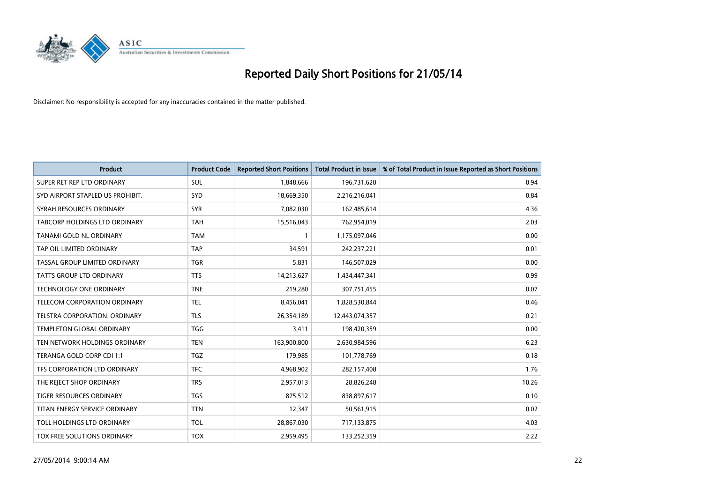

| <b>Product</b>                   | <b>Product Code</b> | <b>Reported Short Positions</b> | <b>Total Product in Issue</b> | % of Total Product in Issue Reported as Short Positions |
|----------------------------------|---------------------|---------------------------------|-------------------------------|---------------------------------------------------------|
| SUPER RET REP LTD ORDINARY       | <b>SUL</b>          | 1,848,666                       | 196,731,620                   | 0.94                                                    |
| SYD AIRPORT STAPLED US PROHIBIT. | <b>SYD</b>          | 18,669,350                      | 2,216,216,041                 | 0.84                                                    |
| SYRAH RESOURCES ORDINARY         | <b>SYR</b>          | 7,082,030                       | 162,485,614                   | 4.36                                                    |
| TABCORP HOLDINGS LTD ORDINARY    | <b>TAH</b>          | 15,516,043                      | 762,954,019                   | 2.03                                                    |
| TANAMI GOLD NL ORDINARY          | <b>TAM</b>          | $\mathbf{1}$                    | 1,175,097,046                 | 0.00                                                    |
| TAP OIL LIMITED ORDINARY         | <b>TAP</b>          | 34,591                          | 242,237,221                   | 0.01                                                    |
| TASSAL GROUP LIMITED ORDINARY    | TGR                 | 5,831                           | 146,507,029                   | 0.00                                                    |
| TATTS GROUP LTD ORDINARY         | <b>TTS</b>          | 14,213,627                      | 1,434,447,341                 | 0.99                                                    |
| <b>TECHNOLOGY ONE ORDINARY</b>   | <b>TNE</b>          | 219,280                         | 307,751,455                   | 0.07                                                    |
| TELECOM CORPORATION ORDINARY     | <b>TEL</b>          | 8,456,041                       | 1,828,530,844                 | 0.46                                                    |
| TELSTRA CORPORATION. ORDINARY    | <b>TLS</b>          | 26,354,189                      | 12,443,074,357                | 0.21                                                    |
| <b>TEMPLETON GLOBAL ORDINARY</b> | <b>TGG</b>          | 3,411                           | 198,420,359                   | 0.00                                                    |
| TEN NETWORK HOLDINGS ORDINARY    | <b>TEN</b>          | 163,900,800                     | 2,630,984,596                 | 6.23                                                    |
| TERANGA GOLD CORP CDI 1:1        | TGZ                 | 179,985                         | 101,778,769                   | 0.18                                                    |
| TFS CORPORATION LTD ORDINARY     | <b>TFC</b>          | 4,968,902                       | 282,157,408                   | 1.76                                                    |
| THE REJECT SHOP ORDINARY         | <b>TRS</b>          | 2,957,013                       | 28,826,248                    | 10.26                                                   |
| TIGER RESOURCES ORDINARY         | TGS                 | 875,512                         | 838,897,617                   | 0.10                                                    |
| TITAN ENERGY SERVICE ORDINARY    | <b>TTN</b>          | 12,347                          | 50,561,915                    | 0.02                                                    |
| TOLL HOLDINGS LTD ORDINARY       | <b>TOL</b>          | 28,867,030                      | 717,133,875                   | 4.03                                                    |
| TOX FREE SOLUTIONS ORDINARY      | <b>TOX</b>          | 2,959,495                       | 133,252,359                   | 2.22                                                    |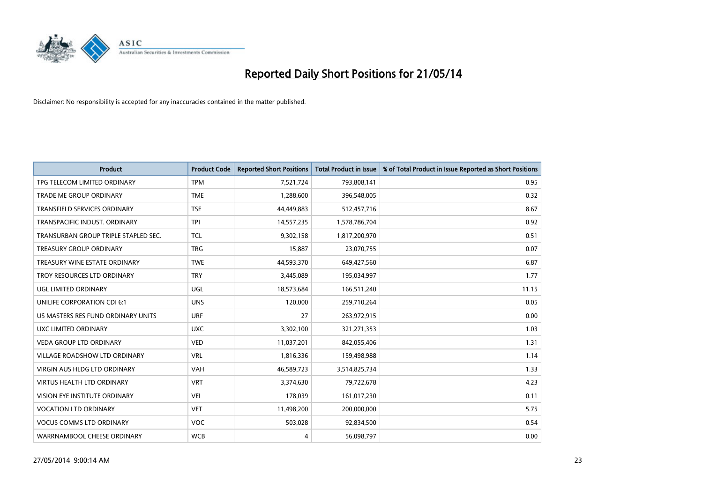

| <b>Product</b>                       | <b>Product Code</b> | <b>Reported Short Positions</b> | <b>Total Product in Issue</b> | % of Total Product in Issue Reported as Short Positions |
|--------------------------------------|---------------------|---------------------------------|-------------------------------|---------------------------------------------------------|
| TPG TELECOM LIMITED ORDINARY         | <b>TPM</b>          | 7,521,724                       | 793,808,141                   | 0.95                                                    |
| TRADE ME GROUP ORDINARY              | <b>TME</b>          | 1,288,600                       | 396,548,005                   | 0.32                                                    |
| <b>TRANSFIELD SERVICES ORDINARY</b>  | <b>TSE</b>          | 44,449,883                      | 512,457,716                   | 8.67                                                    |
| TRANSPACIFIC INDUST. ORDINARY        | <b>TPI</b>          | 14,557,235                      | 1,578,786,704                 | 0.92                                                    |
| TRANSURBAN GROUP TRIPLE STAPLED SEC. | <b>TCL</b>          | 9,302,158                       | 1,817,200,970                 | 0.51                                                    |
| <b>TREASURY GROUP ORDINARY</b>       | <b>TRG</b>          | 15,887                          | 23,070,755                    | 0.07                                                    |
| TREASURY WINE ESTATE ORDINARY        | <b>TWE</b>          | 44,593,370                      | 649,427,560                   | 6.87                                                    |
| TROY RESOURCES LTD ORDINARY          | <b>TRY</b>          | 3,445,089                       | 195,034,997                   | 1.77                                                    |
| <b>UGL LIMITED ORDINARY</b>          | UGL                 | 18,573,684                      | 166,511,240                   | 11.15                                                   |
| UNILIFE CORPORATION CDI 6:1          | <b>UNS</b>          | 120,000                         | 259,710,264                   | 0.05                                                    |
| US MASTERS RES FUND ORDINARY UNITS   | <b>URF</b>          | 27                              | 263,972,915                   | 0.00                                                    |
| UXC LIMITED ORDINARY                 | <b>UXC</b>          | 3,302,100                       | 321,271,353                   | 1.03                                                    |
| <b>VEDA GROUP LTD ORDINARY</b>       | <b>VED</b>          | 11,037,201                      | 842,055,406                   | 1.31                                                    |
| <b>VILLAGE ROADSHOW LTD ORDINARY</b> | <b>VRL</b>          | 1,816,336                       | 159,498,988                   | 1.14                                                    |
| <b>VIRGIN AUS HLDG LTD ORDINARY</b>  | <b>VAH</b>          | 46,589,723                      | 3,514,825,734                 | 1.33                                                    |
| VIRTUS HEALTH LTD ORDINARY           | <b>VRT</b>          | 3,374,630                       | 79,722,678                    | 4.23                                                    |
| VISION EYE INSTITUTE ORDINARY        | <b>VEI</b>          | 178,039                         | 161,017,230                   | 0.11                                                    |
| VOCATION LTD ORDINARY                | <b>VET</b>          | 11,498,200                      | 200,000,000                   | 5.75                                                    |
| <b>VOCUS COMMS LTD ORDINARY</b>      | <b>VOC</b>          | 503,028                         | 92,834,500                    | 0.54                                                    |
| WARRNAMBOOL CHEESE ORDINARY          | <b>WCB</b>          | 4                               | 56,098,797                    | 0.00                                                    |